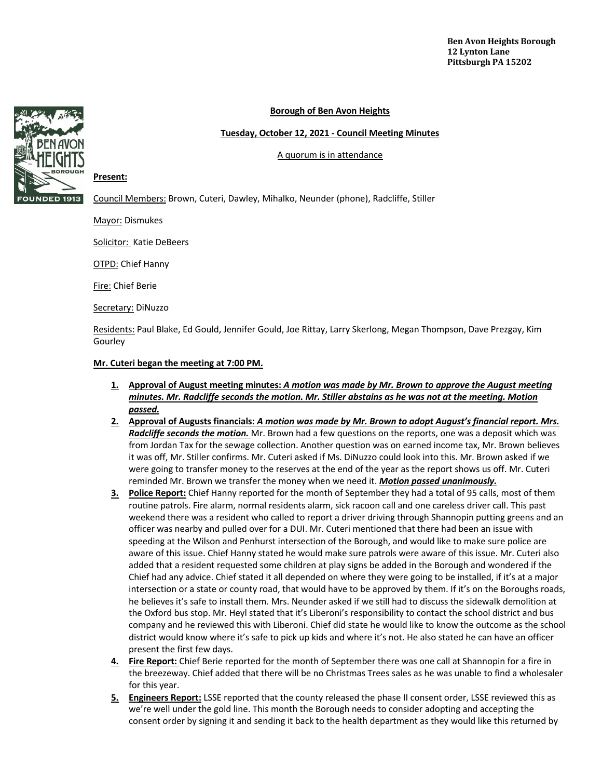# **Borough of Ben Avon Heights**

## **Tuesday, October 12, 2021 - Council Meeting Minutes**

# A quorum is in attendance

# **Present:**

Council Members: Brown, Cuteri, Dawley, Mihalko, Neunder (phone), Radcliffe, Stiller

Mayor: Dismukes

Solicitor: Katie DeBeers

OTPD: Chief Hanny

Fire: Chief Berie

Secretary: DiNuzzo

Residents: Paul Blake, Ed Gould, Jennifer Gould, Joe Rittay, Larry Skerlong, Megan Thompson, Dave Prezgay, Kim Gourley

## **Mr. Cuteri began the meeting at 7:00 PM.**

- **1. Approval of August meeting minutes:** *A motion was made by Mr. Brown to approve the August meeting minutes. Mr. Radcliffe seconds the motion. Mr. Stiller abstains as he was not at the meeting. Motion passed.*
- **2. Approval of Augusts financials:** *A motion was made by Mr. Brown to adopt August's financial report. Mrs. Radcliffe seconds the motion.* Mr. Brown had a few questions on the reports, one was a deposit which was from Jordan Tax for the sewage collection. Another question was on earned income tax, Mr. Brown believes it was off, Mr. Stiller confirms. Mr. Cuteri asked if Ms. DiNuzzo could look into this. Mr. Brown asked if we were going to transfer money to the reserves at the end of the year as the report shows us off. Mr. Cuteri reminded Mr. Brown we transfer the money when we need it. *Motion passed unanimously.*
- **3. Police Report:** Chief Hanny reported for the month of September they had a total of 95 calls, most of them routine patrols. Fire alarm, normal residents alarm, sick racoon call and one careless driver call. This past weekend there was a resident who called to report a driver driving through Shannopin putting greens and an officer was nearby and pulled over for a DUI. Mr. Cuteri mentioned that there had been an issue with speeding at the Wilson and Penhurst intersection of the Borough, and would like to make sure police are aware of this issue. Chief Hanny stated he would make sure patrols were aware of this issue. Mr. Cuteri also added that a resident requested some children at play signs be added in the Borough and wondered if the Chief had any advice. Chief stated it all depended on where they were going to be installed, if it's at a major intersection or a state or county road, that would have to be approved by them. If it's on the Boroughs roads, he believes it's safe to install them. Mrs. Neunder asked if we still had to discuss the sidewalk demolition at the Oxford bus stop. Mr. Heyl stated that it's Liberoni's responsibility to contact the school district and bus company and he reviewed this with Liberoni. Chief did state he would like to know the outcome as the school district would know where it's safe to pick up kids and where it's not. He also stated he can have an officer present the first few days.
- **4. Fire Report:** Chief Berie reported for the month of September there was one call at Shannopin for a fire in the breezeway. Chief added that there will be no Christmas Trees sales as he was unable to find a wholesaler for this year.
- **5. Engineers Report:** LSSE reported that the county released the phase II consent order, LSSE reviewed this as we're well under the gold line. This month the Borough needs to consider adopting and accepting the consent order by signing it and sending it back to the health department as they would like this returned by

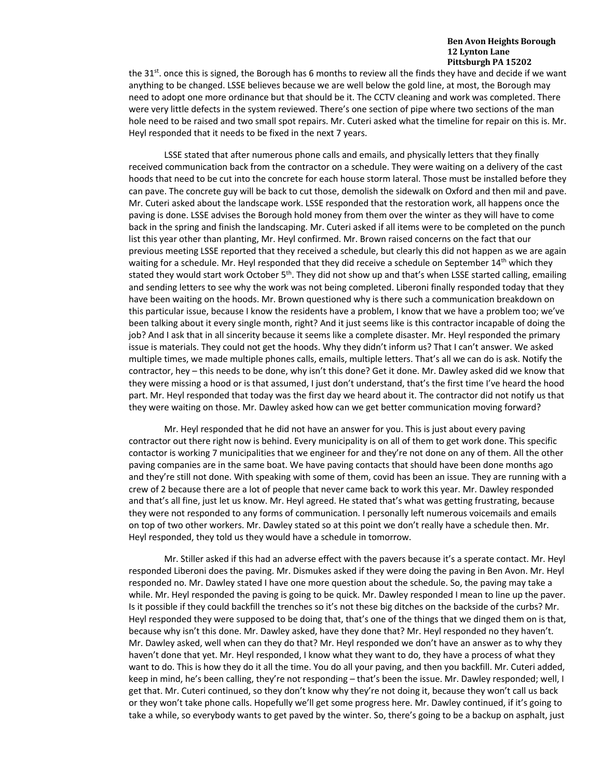the 31<sup>st</sup>. once this is signed, the Borough has 6 months to review all the finds they have and decide if we want anything to be changed. LSSE believes because we are well below the gold line, at most, the Borough may need to adopt one more ordinance but that should be it. The CCTV cleaning and work was completed. There were very little defects in the system reviewed. There's one section of pipe where two sections of the man hole need to be raised and two small spot repairs. Mr. Cuteri asked what the timeline for repair on this is. Mr. Heyl responded that it needs to be fixed in the next 7 years.

LSSE stated that after numerous phone calls and emails, and physically letters that they finally received communication back from the contractor on a schedule. They were waiting on a delivery of the cast hoods that need to be cut into the concrete for each house storm lateral. Those must be installed before they can pave. The concrete guy will be back to cut those, demolish the sidewalk on Oxford and then mil and pave. Mr. Cuteri asked about the landscape work. LSSE responded that the restoration work, all happens once the paving is done. LSSE advises the Borough hold money from them over the winter as they will have to come back in the spring and finish the landscaping. Mr. Cuteri asked if all items were to be completed on the punch list this year other than planting, Mr. Heyl confirmed. Mr. Brown raised concerns on the fact that our previous meeting LSSE reported that they received a schedule, but clearly this did not happen as we are again waiting for a schedule. Mr. Heyl responded that they did receive a schedule on September  $14<sup>th</sup>$  which they stated they would start work October  $5<sup>th</sup>$ . They did not show up and that's when LSSE started calling, emailing and sending letters to see why the work was not being completed. Liberoni finally responded today that they have been waiting on the hoods. Mr. Brown questioned why is there such a communication breakdown on this particular issue, because I know the residents have a problem, I know that we have a problem too; we've been talking about it every single month, right? And it just seems like is this contractor incapable of doing the job? And I ask that in all sincerity because it seems like a complete disaster. Mr. Heyl responded the primary issue is materials. They could not get the hoods. Why they didn't inform us? That I can't answer. We asked multiple times, we made multiple phones calls, emails, multiple letters. That's all we can do is ask. Notify the contractor, hey – this needs to be done, why isn't this done? Get it done. Mr. Dawley asked did we know that they were missing a hood or is that assumed, I just don't understand, that's the first time I've heard the hood part. Mr. Heyl responded that today was the first day we heard about it. The contractor did not notify us that they were waiting on those. Mr. Dawley asked how can we get better communication moving forward?

Mr. Heyl responded that he did not have an answer for you. This is just about every paving contractor out there right now is behind. Every municipality is on all of them to get work done. This specific contactor is working 7 municipalities that we engineer for and they're not done on any of them. All the other paving companies are in the same boat. We have paving contacts that should have been done months ago and they're still not done. With speaking with some of them, covid has been an issue. They are running with a crew of 2 because there are a lot of people that never came back to work this year. Mr. Dawley responded and that's all fine, just let us know. Mr. Heyl agreed. He stated that's what was getting frustrating, because they were not responded to any forms of communication. I personally left numerous voicemails and emails on top of two other workers. Mr. Dawley stated so at this point we don't really have a schedule then. Mr. Heyl responded, they told us they would have a schedule in tomorrow.

Mr. Stiller asked if this had an adverse effect with the pavers because it's a sperate contact. Mr. Heyl responded Liberoni does the paving. Mr. Dismukes asked if they were doing the paving in Ben Avon. Mr. Heyl responded no. Mr. Dawley stated I have one more question about the schedule. So, the paving may take a while. Mr. Heyl responded the paving is going to be quick. Mr. Dawley responded I mean to line up the paver. Is it possible if they could backfill the trenches so it's not these big ditches on the backside of the curbs? Mr. Heyl responded they were supposed to be doing that, that's one of the things that we dinged them on is that, because why isn't this done. Mr. Dawley asked, have they done that? Mr. Heyl responded no they haven't. Mr. Dawley asked, well when can they do that? Mr. Heyl responded we don't have an answer as to why they haven't done that yet. Mr. Heyl responded, I know what they want to do, they have a process of what they want to do. This is how they do it all the time. You do all your paving, and then you backfill. Mr. Cuteri added, keep in mind, he's been calling, they're not responding – that's been the issue. Mr. Dawley responded; well, I get that. Mr. Cuteri continued, so they don't know why they're not doing it, because they won't call us back or they won't take phone calls. Hopefully we'll get some progress here. Mr. Dawley continued, if it's going to take a while, so everybody wants to get paved by the winter. So, there's going to be a backup on asphalt, just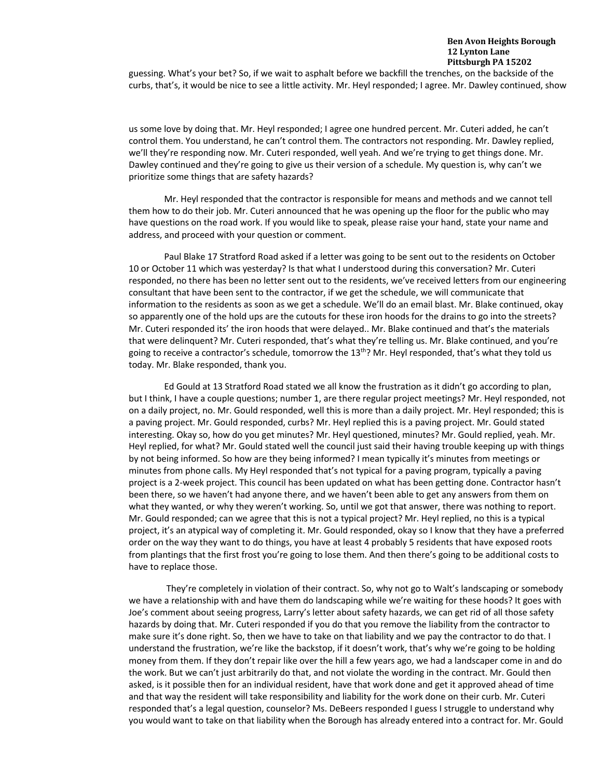guessing. What's your bet? So, if we wait to asphalt before we backfill the trenches, on the backside of the curbs, that's, it would be nice to see a little activity. Mr. Heyl responded; I agree. Mr. Dawley continued, show

us some love by doing that. Mr. Heyl responded; I agree one hundred percent. Mr. Cuteri added, he can't control them. You understand, he can't control them. The contractors not responding. Mr. Dawley replied, we'll they're responding now. Mr. Cuteri responded, well yeah. And we're trying to get things done. Mr. Dawley continued and they're going to give us their version of a schedule. My question is, why can't we prioritize some things that are safety hazards?

Mr. Heyl responded that the contractor is responsible for means and methods and we cannot tell them how to do their job. Mr. Cuteri announced that he was opening up the floor for the public who may have questions on the road work. If you would like to speak, please raise your hand, state your name and address, and proceed with your question or comment.

Paul Blake 17 Stratford Road asked if a letter was going to be sent out to the residents on October 10 or October 11 which was yesterday? Is that what I understood during this conversation? Mr. Cuteri responded, no there has been no letter sent out to the residents, we've received letters from our engineering consultant that have been sent to the contractor, if we get the schedule, we will communicate that information to the residents as soon as we get a schedule. We'll do an email blast. Mr. Blake continued, okay so apparently one of the hold ups are the cutouts for these iron hoods for the drains to go into the streets? Mr. Cuteri responded its' the iron hoods that were delayed.. Mr. Blake continued and that's the materials that were delinquent? Mr. Cuteri responded, that's what they're telling us. Mr. Blake continued, and you're going to receive a contractor's schedule, tomorrow the 13<sup>th</sup>? Mr. Heyl responded, that's what they told us today. Mr. Blake responded, thank you.

Ed Gould at 13 Stratford Road stated we all know the frustration as it didn't go according to plan, but I think, I have a couple questions; number 1, are there regular project meetings? Mr. Heyl responded, not on a daily project, no. Mr. Gould responded, well this is more than a daily project. Mr. Heyl responded; this is a paving project. Mr. Gould responded, curbs? Mr. Heyl replied this is a paving project. Mr. Gould stated interesting. Okay so, how do you get minutes? Mr. Heyl questioned, minutes? Mr. Gould replied, yeah. Mr. Heyl replied, for what? Mr. Gould stated well the council just said their having trouble keeping up with things by not being informed. So how are they being informed? I mean typically it's minutes from meetings or minutes from phone calls. My Heyl responded that's not typical for a paving program, typically a paving project is a 2-week project. This council has been updated on what has been getting done. Contractor hasn't been there, so we haven't had anyone there, and we haven't been able to get any answers from them on what they wanted, or why they weren't working. So, until we got that answer, there was nothing to report. Mr. Gould responded; can we agree that this is not a typical project? Mr. Heyl replied, no this is a typical project, it's an atypical way of completing it. Mr. Gould responded, okay so I know that they have a preferred order on the way they want to do things, you have at least 4 probably 5 residents that have exposed roots from plantings that the first frost you're going to lose them. And then there's going to be additional costs to have to replace those.

They're completely in violation of their contract. So, why not go to Walt's landscaping or somebody we have a relationship with and have them do landscaping while we're waiting for these hoods? It goes with Joe's comment about seeing progress, Larry's letter about safety hazards, we can get rid of all those safety hazards by doing that. Mr. Cuteri responded if you do that you remove the liability from the contractor to make sure it's done right. So, then we have to take on that liability and we pay the contractor to do that. I understand the frustration, we're like the backstop, if it doesn't work, that's why we're going to be holding money from them. If they don't repair like over the hill a few years ago, we had a landscaper come in and do the work. But we can't just arbitrarily do that, and not violate the wording in the contract. Mr. Gould then asked, is it possible then for an individual resident, have that work done and get it approved ahead of time and that way the resident will take responsibility and liability for the work done on their curb. Mr. Cuteri responded that's a legal question, counselor? Ms. DeBeers responded I guess I struggle to understand why you would want to take on that liability when the Borough has already entered into a contract for. Mr. Gould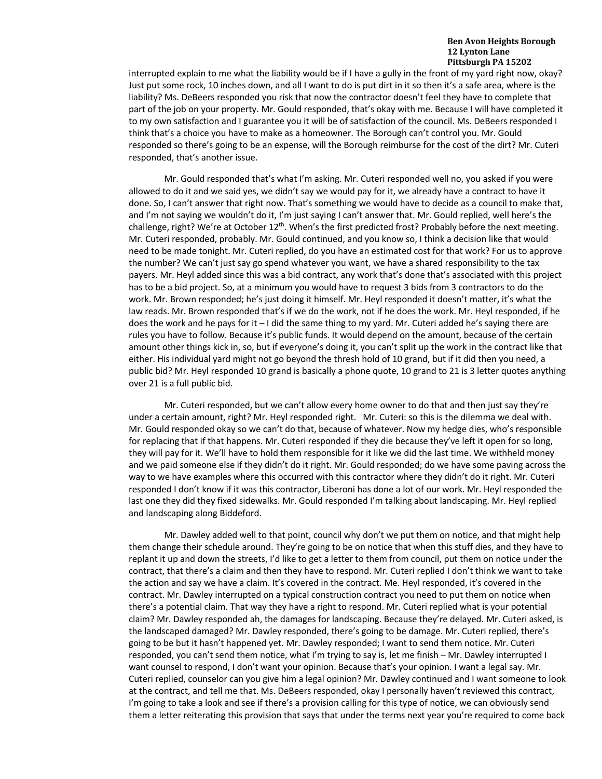interrupted explain to me what the liability would be if I have a gully in the front of my yard right now, okay? Just put some rock, 10 inches down, and all I want to do is put dirt in it so then it's a safe area, where is the liability? Ms. DeBeers responded you risk that now the contractor doesn't feel they have to complete that part of the job on your property. Mr. Gould responded, that's okay with me. Because I will have completed it to my own satisfaction and I guarantee you it will be of satisfaction of the council. Ms. DeBeers responded I think that's a choice you have to make as a homeowner. The Borough can't control you. Mr. Gould responded so there's going to be an expense, will the Borough reimburse for the cost of the dirt? Mr. Cuteri responded, that's another issue.

Mr. Gould responded that's what I'm asking. Mr. Cuteri responded well no, you asked if you were allowed to do it and we said yes, we didn't say we would pay for it, we already have a contract to have it done. So, I can't answer that right now. That's something we would have to decide as a council to make that, and I'm not saying we wouldn't do it, I'm just saying I can't answer that. Mr. Gould replied, well here's the challenge, right? We're at October 12<sup>th</sup>. When's the first predicted frost? Probably before the next meeting. Mr. Cuteri responded, probably. Mr. Gould continued, and you know so, I think a decision like that would need to be made tonight. Mr. Cuteri replied, do you have an estimated cost for that work? For us to approve the number? We can't just say go spend whatever you want, we have a shared responsibility to the tax payers. Mr. Heyl added since this was a bid contract, any work that's done that's associated with this project has to be a bid project. So, at a minimum you would have to request 3 bids from 3 contractors to do the work. Mr. Brown responded; he's just doing it himself. Mr. Heyl responded it doesn't matter, it's what the law reads. Mr. Brown responded that's if we do the work, not if he does the work. Mr. Heyl responded, if he does the work and he pays for it – I did the same thing to my yard. Mr. Cuteri added he's saying there are rules you have to follow. Because it's public funds. It would depend on the amount, because of the certain amount other things kick in, so, but if everyone's doing it, you can't split up the work in the contract like that either. His individual yard might not go beyond the thresh hold of 10 grand, but if it did then you need, a public bid? Mr. Heyl responded 10 grand is basically a phone quote, 10 grand to 21 is 3 letter quotes anything over 21 is a full public bid.

Mr. Cuteri responded, but we can't allow every home owner to do that and then just say they're under a certain amount, right? Mr. Heyl responded right. Mr. Cuteri: so this is the dilemma we deal with. Mr. Gould responded okay so we can't do that, because of whatever. Now my hedge dies, who's responsible for replacing that if that happens. Mr. Cuteri responded if they die because they've left it open for so long, they will pay for it. We'll have to hold them responsible for it like we did the last time. We withheld money and we paid someone else if they didn't do it right. Mr. Gould responded; do we have some paving across the way to we have examples where this occurred with this contractor where they didn't do it right. Mr. Cuteri responded I don't know if it was this contractor, Liberoni has done a lot of our work. Mr. Heyl responded the last one they did they fixed sidewalks. Mr. Gould responded I'm talking about landscaping. Mr. Heyl replied and landscaping along Biddeford.

Mr. Dawley added well to that point, council why don't we put them on notice, and that might help them change their schedule around. They're going to be on notice that when this stuff dies, and they have to replant it up and down the streets, I'd like to get a letter to them from council, put them on notice under the contract, that there's a claim and then they have to respond. Mr. Cuteri replied I don't think we want to take the action and say we have a claim. It's covered in the contract. Me. Heyl responded, it's covered in the contract. Mr. Dawley interrupted on a typical construction contract you need to put them on notice when there's a potential claim. That way they have a right to respond. Mr. Cuteri replied what is your potential claim? Mr. Dawley responded ah, the damages for landscaping. Because they're delayed. Mr. Cuteri asked, is the landscaped damaged? Mr. Dawley responded, there's going to be damage. Mr. Cuteri replied, there's going to be but it hasn't happened yet. Mr. Dawley responded; I want to send them notice. Mr. Cuteri responded, you can't send them notice, what I'm trying to say is, let me finish – Mr. Dawley interrupted I want counsel to respond, I don't want your opinion. Because that's your opinion. I want a legal say. Mr. Cuteri replied, counselor can you give him a legal opinion? Mr. Dawley continued and I want someone to look at the contract, and tell me that. Ms. DeBeers responded, okay I personally haven't reviewed this contract, I'm going to take a look and see if there's a provision calling for this type of notice, we can obviously send them a letter reiterating this provision that says that under the terms next year you're required to come back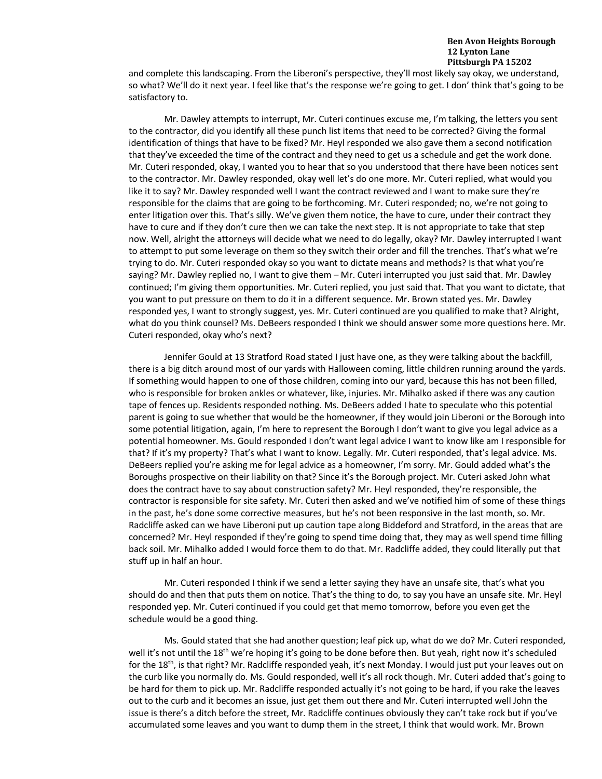and complete this landscaping. From the Liberoni's perspective, they'll most likely say okay, we understand, so what? We'll do it next year. I feel like that's the response we're going to get. I don' think that's going to be satisfactory to.

Mr. Dawley attempts to interrupt, Mr. Cuteri continues excuse me, I'm talking, the letters you sent to the contractor, did you identify all these punch list items that need to be corrected? Giving the formal identification of things that have to be fixed? Mr. Heyl responded we also gave them a second notification that they've exceeded the time of the contract and they need to get us a schedule and get the work done. Mr. Cuteri responded, okay, I wanted you to hear that so you understood that there have been notices sent to the contractor. Mr. Dawley responded, okay well let's do one more. Mr. Cuteri replied, what would you like it to say? Mr. Dawley responded well I want the contract reviewed and I want to make sure they're responsible for the claims that are going to be forthcoming. Mr. Cuteri responded; no, we're not going to enter litigation over this. That's silly. We've given them notice, the have to cure, under their contract they have to cure and if they don't cure then we can take the next step. It is not appropriate to take that step now. Well, alright the attorneys will decide what we need to do legally, okay? Mr. Dawley interrupted I want to attempt to put some leverage on them so they switch their order and fill the trenches. That's what we're trying to do. Mr. Cuteri responded okay so you want to dictate means and methods? Is that what you're saying? Mr. Dawley replied no, I want to give them – Mr. Cuteri interrupted you just said that. Mr. Dawley continued; I'm giving them opportunities. Mr. Cuteri replied, you just said that. That you want to dictate, that you want to put pressure on them to do it in a different sequence. Mr. Brown stated yes. Mr. Dawley responded yes, I want to strongly suggest, yes. Mr. Cuteri continued are you qualified to make that? Alright, what do you think counsel? Ms. DeBeers responded I think we should answer some more questions here. Mr. Cuteri responded, okay who's next?

Jennifer Gould at 13 Stratford Road stated I just have one, as they were talking about the backfill, there is a big ditch around most of our yards with Halloween coming, little children running around the yards. If something would happen to one of those children, coming into our yard, because this has not been filled, who is responsible for broken ankles or whatever, like, injuries. Mr. Mihalko asked if there was any caution tape of fences up. Residents responded nothing. Ms. DeBeers added I hate to speculate who this potential parent is going to sue whether that would be the homeowner, if they would join Liberoni or the Borough into some potential litigation, again, I'm here to represent the Borough I don't want to give you legal advice as a potential homeowner. Ms. Gould responded I don't want legal advice I want to know like am I responsible for that? If it's my property? That's what I want to know. Legally. Mr. Cuteri responded, that's legal advice. Ms. DeBeers replied you're asking me for legal advice as a homeowner, I'm sorry. Mr. Gould added what's the Boroughs prospective on their liability on that? Since it's the Borough project. Mr. Cuteri asked John what does the contract have to say about construction safety? Mr. Heyl responded, they're responsible, the contractor is responsible for site safety. Mr. Cuteri then asked and we've notified him of some of these things in the past, he's done some corrective measures, but he's not been responsive in the last month, so. Mr. Radcliffe asked can we have Liberoni put up caution tape along Biddeford and Stratford, in the areas that are concerned? Mr. Heyl responded if they're going to spend time doing that, they may as well spend time filling back soil. Mr. Mihalko added I would force them to do that. Mr. Radcliffe added, they could literally put that stuff up in half an hour.

Mr. Cuteri responded I think if we send a letter saying they have an unsafe site, that's what you should do and then that puts them on notice. That's the thing to do, to say you have an unsafe site. Mr. Heyl responded yep. Mr. Cuteri continued if you could get that memo tomorrow, before you even get the schedule would be a good thing.

Ms. Gould stated that she had another question; leaf pick up, what do we do? Mr. Cuteri responded, well it's not until the 18<sup>th</sup> we're hoping it's going to be done before then. But yeah, right now it's scheduled for the 18<sup>th</sup>, is that right? Mr. Radcliffe responded yeah, it's next Monday. I would just put your leaves out on the curb like you normally do. Ms. Gould responded, well it's all rock though. Mr. Cuteri added that's going to be hard for them to pick up. Mr. Radcliffe responded actually it's not going to be hard, if you rake the leaves out to the curb and it becomes an issue, just get them out there and Mr. Cuteri interrupted well John the issue is there's a ditch before the street, Mr. Radcliffe continues obviously they can't take rock but if you've accumulated some leaves and you want to dump them in the street, I think that would work. Mr. Brown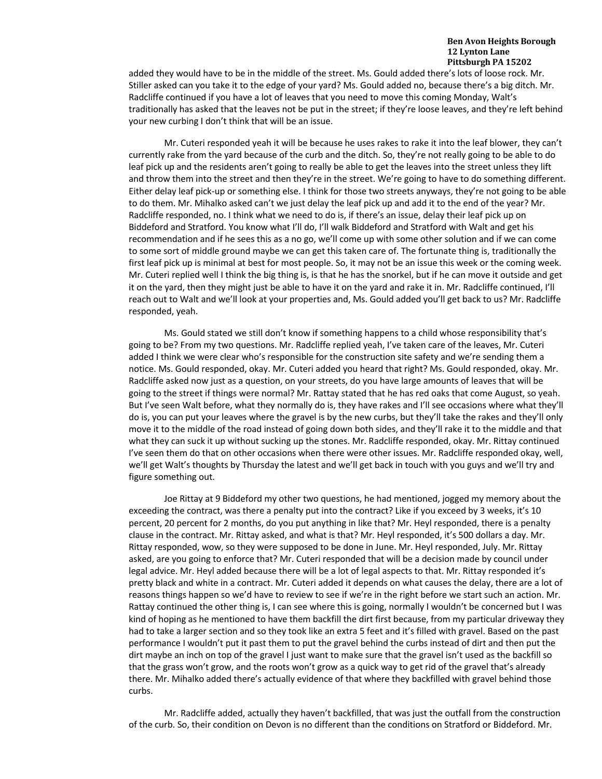added they would have to be in the middle of the street. Ms. Gould added there's lots of loose rock. Mr. Stiller asked can you take it to the edge of your yard? Ms. Gould added no, because there's a big ditch. Mr. Radcliffe continued if you have a lot of leaves that you need to move this coming Monday, Walt's traditionally has asked that the leaves not be put in the street; if they're loose leaves, and they're left behind your new curbing I don't think that will be an issue.

Mr. Cuteri responded yeah it will be because he uses rakes to rake it into the leaf blower, they can't currently rake from the yard because of the curb and the ditch. So, they're not really going to be able to do leaf pick up and the residents aren't going to really be able to get the leaves into the street unless they lift and throw them into the street and then they're in the street. We're going to have to do something different. Either delay leaf pick-up or something else. I think for those two streets anyways, they're not going to be able to do them. Mr. Mihalko asked can't we just delay the leaf pick up and add it to the end of the year? Mr. Radcliffe responded, no. I think what we need to do is, if there's an issue, delay their leaf pick up on Biddeford and Stratford. You know what I'll do, I'll walk Biddeford and Stratford with Walt and get his recommendation and if he sees this as a no go, we'll come up with some other solution and if we can come to some sort of middle ground maybe we can get this taken care of. The fortunate thing is, traditionally the first leaf pick up is minimal at best for most people. So, it may not be an issue this week or the coming week. Mr. Cuteri replied well I think the big thing is, is that he has the snorkel, but if he can move it outside and get it on the yard, then they might just be able to have it on the yard and rake it in. Mr. Radcliffe continued, I'll reach out to Walt and we'll look at your properties and, Ms. Gould added you'll get back to us? Mr. Radcliffe responded, yeah.

Ms. Gould stated we still don't know if something happens to a child whose responsibility that's going to be? From my two questions. Mr. Radcliffe replied yeah, I've taken care of the leaves, Mr. Cuteri added I think we were clear who's responsible for the construction site safety and we're sending them a notice. Ms. Gould responded, okay. Mr. Cuteri added you heard that right? Ms. Gould responded, okay. Mr. Radcliffe asked now just as a question, on your streets, do you have large amounts of leaves that will be going to the street if things were normal? Mr. Rattay stated that he has red oaks that come August, so yeah. But I've seen Walt before, what they normally do is, they have rakes and I'll see occasions where what they'll do is, you can put your leaves where the gravel is by the new curbs, but they'll take the rakes and they'll only move it to the middle of the road instead of going down both sides, and they'll rake it to the middle and that what they can suck it up without sucking up the stones. Mr. Radcliffe responded, okay. Mr. Rittay continued I've seen them do that on other occasions when there were other issues. Mr. Radcliffe responded okay, well, we'll get Walt's thoughts by Thursday the latest and we'll get back in touch with you guys and we'll try and figure something out.

Joe Rittay at 9 Biddeford my other two questions, he had mentioned, jogged my memory about the exceeding the contract, was there a penalty put into the contract? Like if you exceed by 3 weeks, it's 10 percent, 20 percent for 2 months, do you put anything in like that? Mr. Heyl responded, there is a penalty clause in the contract. Mr. Rittay asked, and what is that? Mr. Heyl responded, it's 500 dollars a day. Mr. Rittay responded, wow, so they were supposed to be done in June. Mr. Heyl responded, July. Mr. Rittay asked, are you going to enforce that? Mr. Cuteri responded that will be a decision made by council under legal advice. Mr. Heyl added because there will be a lot of legal aspects to that. Mr. Rittay responded it's pretty black and white in a contract. Mr. Cuteri added it depends on what causes the delay, there are a lot of reasons things happen so we'd have to review to see if we're in the right before we start such an action. Mr. Rattay continued the other thing is, I can see where this is going, normally I wouldn't be concerned but I was kind of hoping as he mentioned to have them backfill the dirt first because, from my particular driveway they had to take a larger section and so they took like an extra 5 feet and it's filled with gravel. Based on the past performance I wouldn't put it past them to put the gravel behind the curbs instead of dirt and then put the dirt maybe an inch on top of the gravel I just want to make sure that the gravel isn't used as the backfill so that the grass won't grow, and the roots won't grow as a quick way to get rid of the gravel that's already there. Mr. Mihalko added there's actually evidence of that where they backfilled with gravel behind those curbs.

Mr. Radcliffe added, actually they haven't backfilled, that was just the outfall from the construction of the curb. So, their condition on Devon is no different than the conditions on Stratford or Biddeford. Mr.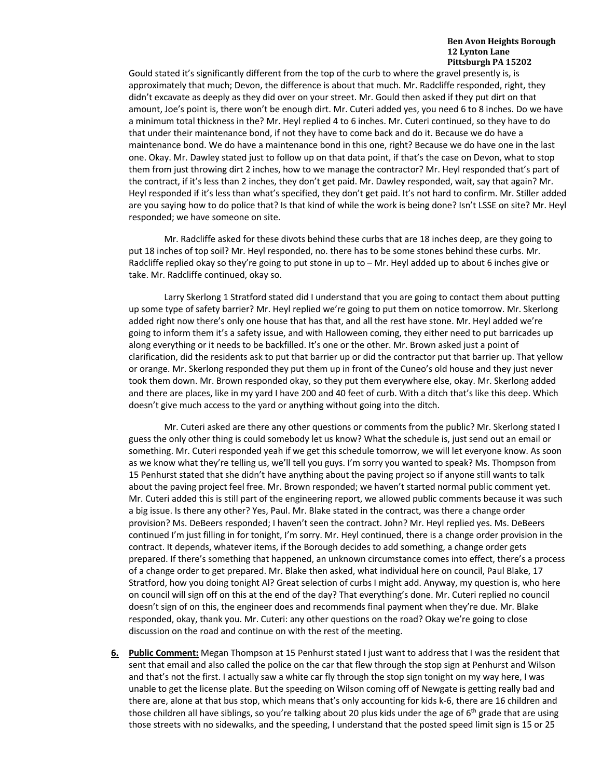Gould stated it's significantly different from the top of the curb to where the gravel presently is, is approximately that much; Devon, the difference is about that much. Mr. Radcliffe responded, right, they didn't excavate as deeply as they did over on your street. Mr. Gould then asked if they put dirt on that amount, Joe's point is, there won't be enough dirt. Mr. Cuteri added yes, you need 6 to 8 inches. Do we have a minimum total thickness in the? Mr. Heyl replied 4 to 6 inches. Mr. Cuteri continued, so they have to do that under their maintenance bond, if not they have to come back and do it. Because we do have a maintenance bond. We do have a maintenance bond in this one, right? Because we do have one in the last one. Okay. Mr. Dawley stated just to follow up on that data point, if that's the case on Devon, what to stop them from just throwing dirt 2 inches, how to we manage the contractor? Mr. Heyl responded that's part of the contract, if it's less than 2 inches, they don't get paid. Mr. Dawley responded, wait, say that again? Mr. Heyl responded if it's less than what's specified, they don't get paid. It's not hard to confirm. Mr. Stiller added are you saying how to do police that? Is that kind of while the work is being done? Isn't LSSE on site? Mr. Heyl responded; we have someone on site.

Mr. Radcliffe asked for these divots behind these curbs that are 18 inches deep, are they going to put 18 inches of top soil? Mr. Heyl responded, no. there has to be some stones behind these curbs. Mr. Radcliffe replied okay so they're going to put stone in up to – Mr. Heyl added up to about 6 inches give or take. Mr. Radcliffe continued, okay so.

Larry Skerlong 1 Stratford stated did I understand that you are going to contact them about putting up some type of safety barrier? Mr. Heyl replied we're going to put them on notice tomorrow. Mr. Skerlong added right now there's only one house that has that, and all the rest have stone. Mr. Heyl added we're going to inform them it's a safety issue, and with Halloween coming, they either need to put barricades up along everything or it needs to be backfilled. It's one or the other. Mr. Brown asked just a point of clarification, did the residents ask to put that barrier up or did the contractor put that barrier up. That yellow or orange. Mr. Skerlong responded they put them up in front of the Cuneo's old house and they just never took them down. Mr. Brown responded okay, so they put them everywhere else, okay. Mr. Skerlong added and there are places, like in my yard I have 200 and 40 feet of curb. With a ditch that's like this deep. Which doesn't give much access to the yard or anything without going into the ditch.

Mr. Cuteri asked are there any other questions or comments from the public? Mr. Skerlong stated I guess the only other thing is could somebody let us know? What the schedule is, just send out an email or something. Mr. Cuteri responded yeah if we get this schedule tomorrow, we will let everyone know. As soon as we know what they're telling us, we'll tell you guys. I'm sorry you wanted to speak? Ms. Thompson from 15 Penhurst stated that she didn't have anything about the paving project so if anyone still wants to talk about the paving project feel free. Mr. Brown responded; we haven't started normal public comment yet. Mr. Cuteri added this is still part of the engineering report, we allowed public comments because it was such a big issue. Is there any other? Yes, Paul. Mr. Blake stated in the contract, was there a change order provision? Ms. DeBeers responded; I haven't seen the contract. John? Mr. Heyl replied yes. Ms. DeBeers continued I'm just filling in for tonight, I'm sorry. Mr. Heyl continued, there is a change order provision in the contract. It depends, whatever items, if the Borough decides to add something, a change order gets prepared. If there's something that happened, an unknown circumstance comes into effect, there's a process of a change order to get prepared. Mr. Blake then asked, what individual here on council, Paul Blake, 17 Stratford, how you doing tonight Al? Great selection of curbs I might add. Anyway, my question is, who here on council will sign off on this at the end of the day? That everything's done. Mr. Cuteri replied no council doesn't sign of on this, the engineer does and recommends final payment when they're due. Mr. Blake responded, okay, thank you. Mr. Cuteri: any other questions on the road? Okay we're going to close discussion on the road and continue on with the rest of the meeting.

**6. Public Comment:** Megan Thompson at 15 Penhurst stated I just want to address that I was the resident that sent that email and also called the police on the car that flew through the stop sign at Penhurst and Wilson and that's not the first. I actually saw a white car fly through the stop sign tonight on my way here, I was unable to get the license plate. But the speeding on Wilson coming off of Newgate is getting really bad and there are, alone at that bus stop, which means that's only accounting for kids k-6, there are 16 children and those children all have siblings, so you're talking about 20 plus kids under the age of 6<sup>th</sup> grade that are using those streets with no sidewalks, and the speeding, I understand that the posted speed limit sign is 15 or 25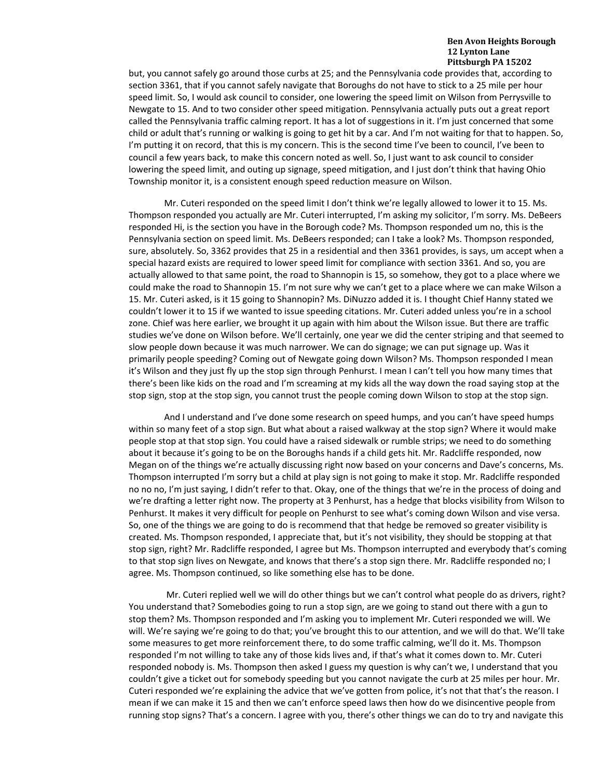but, you cannot safely go around those curbs at 25; and the Pennsylvania code provides that, according to section 3361, that if you cannot safely navigate that Boroughs do not have to stick to a 25 mile per hour speed limit. So, I would ask council to consider, one lowering the speed limit on Wilson from Perrysville to Newgate to 15. And to two consider other speed mitigation. Pennsylvania actually puts out a great report called the Pennsylvania traffic calming report. It has a lot of suggestions in it. I'm just concerned that some child or adult that's running or walking is going to get hit by a car. And I'm not waiting for that to happen. So, I'm putting it on record, that this is my concern. This is the second time I've been to council, I've been to council a few years back, to make this concern noted as well. So, I just want to ask council to consider lowering the speed limit, and outing up signage, speed mitigation, and I just don't think that having Ohio Township monitor it, is a consistent enough speed reduction measure on Wilson.

Mr. Cuteri responded on the speed limit I don't think we're legally allowed to lower it to 15. Ms. Thompson responded you actually are Mr. Cuteri interrupted, I'm asking my solicitor, I'm sorry. Ms. DeBeers responded Hi, is the section you have in the Borough code? Ms. Thompson responded um no, this is the Pennsylvania section on speed limit. Ms. DeBeers responded; can I take a look? Ms. Thompson responded, sure, absolutely. So, 3362 provides that 25 in a residential and then 3361 provides, is says, um accept when a special hazard exists are required to lower speed limit for compliance with section 3361. And so, you are actually allowed to that same point, the road to Shannopin is 15, so somehow, they got to a place where we could make the road to Shannopin 15. I'm not sure why we can't get to a place where we can make Wilson a 15. Mr. Cuteri asked, is it 15 going to Shannopin? Ms. DiNuzzo added it is. I thought Chief Hanny stated we couldn't lower it to 15 if we wanted to issue speeding citations. Mr. Cuteri added unless you're in a school zone. Chief was here earlier, we brought it up again with him about the Wilson issue. But there are traffic studies we've done on Wilson before. We'll certainly, one year we did the center striping and that seemed to slow people down because it was much narrower. We can do signage; we can put signage up. Was it primarily people speeding? Coming out of Newgate going down Wilson? Ms. Thompson responded I mean it's Wilson and they just fly up the stop sign through Penhurst. I mean I can't tell you how many times that there's been like kids on the road and I'm screaming at my kids all the way down the road saying stop at the stop sign, stop at the stop sign, you cannot trust the people coming down Wilson to stop at the stop sign.

And I understand and I've done some research on speed humps, and you can't have speed humps within so many feet of a stop sign. But what about a raised walkway at the stop sign? Where it would make people stop at that stop sign. You could have a raised sidewalk or rumble strips; we need to do something about it because it's going to be on the Boroughs hands if a child gets hit. Mr. Radcliffe responded, now Megan on of the things we're actually discussing right now based on your concerns and Dave's concerns, Ms. Thompson interrupted I'm sorry but a child at play sign is not going to make it stop. Mr. Radcliffe responded no no no, I'm just saying, I didn't refer to that. Okay, one of the things that we're in the process of doing and we're drafting a letter right now. The property at 3 Penhurst, has a hedge that blocks visibility from Wilson to Penhurst. It makes it very difficult for people on Penhurst to see what's coming down Wilson and vise versa. So, one of the things we are going to do is recommend that that hedge be removed so greater visibility is created. Ms. Thompson responded, I appreciate that, but it's not visibility, they should be stopping at that stop sign, right? Mr. Radcliffe responded, I agree but Ms. Thompson interrupted and everybody that's coming to that stop sign lives on Newgate, and knows that there's a stop sign there. Mr. Radcliffe responded no; I agree. Ms. Thompson continued, so like something else has to be done.

Mr. Cuteri replied well we will do other things but we can't control what people do as drivers, right? You understand that? Somebodies going to run a stop sign, are we going to stand out there with a gun to stop them? Ms. Thompson responded and I'm asking you to implement Mr. Cuteri responded we will. We will. We're saying we're going to do that; you've brought this to our attention, and we will do that. We'll take some measures to get more reinforcement there, to do some traffic calming, we'll do it. Ms. Thompson responded I'm not willing to take any of those kids lives and, if that's what it comes down to. Mr. Cuteri responded nobody is. Ms. Thompson then asked I guess my question is why can't we, I understand that you couldn't give a ticket out for somebody speeding but you cannot navigate the curb at 25 miles per hour. Mr. Cuteri responded we're explaining the advice that we've gotten from police, it's not that that's the reason. I mean if we can make it 15 and then we can't enforce speed laws then how do we disincentive people from running stop signs? That's a concern. I agree with you, there's other things we can do to try and navigate this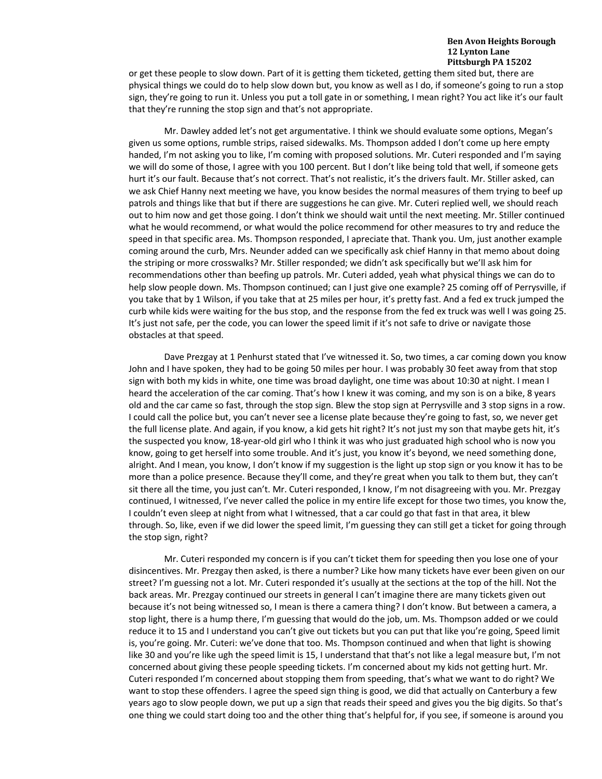or get these people to slow down. Part of it is getting them ticketed, getting them sited but, there are physical things we could do to help slow down but, you know as well as I do, if someone's going to run a stop sign, they're going to run it. Unless you put a toll gate in or something, I mean right? You act like it's our fault that they're running the stop sign and that's not appropriate.

Mr. Dawley added let's not get argumentative. I think we should evaluate some options, Megan's given us some options, rumble strips, raised sidewalks. Ms. Thompson added I don't come up here empty handed, I'm not asking you to like, I'm coming with proposed solutions. Mr. Cuteri responded and I'm saying we will do some of those, I agree with you 100 percent. But I don't like being told that well, if someone gets hurt it's our fault. Because that's not correct. That's not realistic, it's the drivers fault. Mr. Stiller asked, can we ask Chief Hanny next meeting we have, you know besides the normal measures of them trying to beef up patrols and things like that but if there are suggestions he can give. Mr. Cuteri replied well, we should reach out to him now and get those going. I don't think we should wait until the next meeting. Mr. Stiller continued what he would recommend, or what would the police recommend for other measures to try and reduce the speed in that specific area. Ms. Thompson responded, I apreciate that. Thank you. Um, just another example coming around the curb, Mrs. Neunder added can we specifically ask chief Hanny in that memo about doing the striping or more crosswalks? Mr. Stiller responded; we didn't ask specifically but we'll ask him for recommendations other than beefing up patrols. Mr. Cuteri added, yeah what physical things we can do to help slow people down. Ms. Thompson continued; can I just give one example? 25 coming off of Perrysville, if you take that by 1 Wilson, if you take that at 25 miles per hour, it's pretty fast. And a fed ex truck jumped the curb while kids were waiting for the bus stop, and the response from the fed ex truck was well I was going 25. It's just not safe, per the code, you can lower the speed limit if it's not safe to drive or navigate those obstacles at that speed.

Dave Prezgay at 1 Penhurst stated that I've witnessed it. So, two times, a car coming down you know John and I have spoken, they had to be going 50 miles per hour. I was probably 30 feet away from that stop sign with both my kids in white, one time was broad daylight, one time was about 10:30 at night. I mean I heard the acceleration of the car coming. That's how I knew it was coming, and my son is on a bike, 8 years old and the car came so fast, through the stop sign. Blew the stop sign at Perrysville and 3 stop signs in a row. I could call the police but, you can't never see a license plate because they're going to fast, so, we never get the full license plate. And again, if you know, a kid gets hit right? It's not just my son that maybe gets hit, it's the suspected you know, 18-year-old girl who I think it was who just graduated high school who is now you know, going to get herself into some trouble. And it's just, you know it's beyond, we need something done, alright. And I mean, you know, I don't know if my suggestion is the light up stop sign or you know it has to be more than a police presence. Because they'll come, and they're great when you talk to them but, they can't sit there all the time, you just can't. Mr. Cuteri responded, I know, I'm not disagreeing with you. Mr. Prezgay continued, I witnessed, I've never called the police in my entire life except for those two times, you know the, I couldn't even sleep at night from what I witnessed, that a car could go that fast in that area, it blew through. So, like, even if we did lower the speed limit, I'm guessing they can still get a ticket for going through the stop sign, right?

Mr. Cuteri responded my concern is if you can't ticket them for speeding then you lose one of your disincentives. Mr. Prezgay then asked, is there a number? Like how many tickets have ever been given on our street? I'm guessing not a lot. Mr. Cuteri responded it's usually at the sections at the top of the hill. Not the back areas. Mr. Prezgay continued our streets in general I can't imagine there are many tickets given out because it's not being witnessed so, I mean is there a camera thing? I don't know. But between a camera, a stop light, there is a hump there, I'm guessing that would do the job, um. Ms. Thompson added or we could reduce it to 15 and I understand you can't give out tickets but you can put that like you're going, Speed limit is, you're going. Mr. Cuteri: we've done that too. Ms. Thompson continued and when that light is showing like 30 and you're like ugh the speed limit is 15, I understand that that's not like a legal measure but, I'm not concerned about giving these people speeding tickets. I'm concerned about my kids not getting hurt. Mr. Cuteri responded I'm concerned about stopping them from speeding, that's what we want to do right? We want to stop these offenders. I agree the speed sign thing is good, we did that actually on Canterbury a few years ago to slow people down, we put up a sign that reads their speed and gives you the big digits. So that's one thing we could start doing too and the other thing that's helpful for, if you see, if someone is around you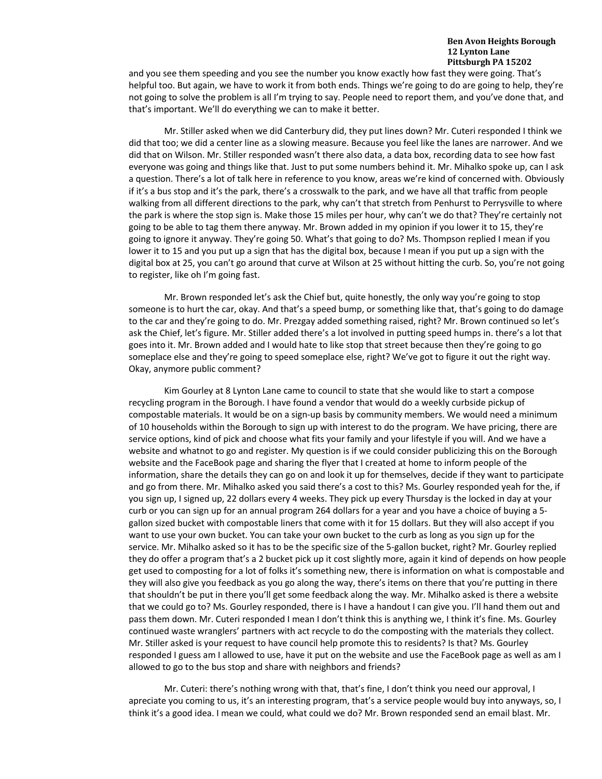and you see them speeding and you see the number you know exactly how fast they were going. That's helpful too. But again, we have to work it from both ends. Things we're going to do are going to help, they're not going to solve the problem is all I'm trying to say. People need to report them, and you've done that, and that's important. We'll do everything we can to make it better.

Mr. Stiller asked when we did Canterbury did, they put lines down? Mr. Cuteri responded I think we did that too; we did a center line as a slowing measure. Because you feel like the lanes are narrower. And we did that on Wilson. Mr. Stiller responded wasn't there also data, a data box, recording data to see how fast everyone was going and things like that. Just to put some numbers behind it. Mr. Mihalko spoke up, can I ask a question. There's a lot of talk here in reference to you know, areas we're kind of concerned with. Obviously if it's a bus stop and it's the park, there's a crosswalk to the park, and we have all that traffic from people walking from all different directions to the park, why can't that stretch from Penhurst to Perrysville to where the park is where the stop sign is. Make those 15 miles per hour, why can't we do that? They're certainly not going to be able to tag them there anyway. Mr. Brown added in my opinion if you lower it to 15, they're going to ignore it anyway. They're going 50. What's that going to do? Ms. Thompson replied I mean if you lower it to 15 and you put up a sign that has the digital box, because I mean if you put up a sign with the digital box at 25, you can't go around that curve at Wilson at 25 without hitting the curb. So, you're not going to register, like oh I'm going fast.

Mr. Brown responded let's ask the Chief but, quite honestly, the only way you're going to stop someone is to hurt the car, okay. And that's a speed bump, or something like that, that's going to do damage to the car and they're going to do. Mr. Prezgay added something raised, right? Mr. Brown continued so let's ask the Chief, let's figure. Mr. Stiller added there's a lot involved in putting speed humps in. there's a lot that goes into it. Mr. Brown added and I would hate to like stop that street because then they're going to go someplace else and they're going to speed someplace else, right? We've got to figure it out the right way. Okay, anymore public comment?

Kim Gourley at 8 Lynton Lane came to council to state that she would like to start a compose recycling program in the Borough. I have found a vendor that would do a weekly curbside pickup of compostable materials. It would be on a sign-up basis by community members. We would need a minimum of 10 households within the Borough to sign up with interest to do the program. We have pricing, there are service options, kind of pick and choose what fits your family and your lifestyle if you will. And we have a website and whatnot to go and register. My question is if we could consider publicizing this on the Borough website and the FaceBook page and sharing the flyer that I created at home to inform people of the information, share the details they can go on and look it up for themselves, decide if they want to participate and go from there. Mr. Mihalko asked you said there's a cost to this? Ms. Gourley responded yeah for the, if you sign up, I signed up, 22 dollars every 4 weeks. They pick up every Thursday is the locked in day at your curb or you can sign up for an annual program 264 dollars for a year and you have a choice of buying a 5 gallon sized bucket with compostable liners that come with it for 15 dollars. But they will also accept if you want to use your own bucket. You can take your own bucket to the curb as long as you sign up for the service. Mr. Mihalko asked so it has to be the specific size of the 5-gallon bucket, right? Mr. Gourley replied they do offer a program that's a 2 bucket pick up it cost slightly more, again it kind of depends on how people get used to composting for a lot of folks it's something new, there is information on what is compostable and they will also give you feedback as you go along the way, there's items on there that you're putting in there that shouldn't be put in there you'll get some feedback along the way. Mr. Mihalko asked is there a website that we could go to? Ms. Gourley responded, there is I have a handout I can give you. I'll hand them out and pass them down. Mr. Cuteri responded I mean I don't think this is anything we, I think it's fine. Ms. Gourley continued waste wranglers' partners with act recycle to do the composting with the materials they collect. Mr. Stiller asked is your request to have council help promote this to residents? Is that? Ms. Gourley responded I guess am I allowed to use, have it put on the website and use the FaceBook page as well as am I allowed to go to the bus stop and share with neighbors and friends?

Mr. Cuteri: there's nothing wrong with that, that's fine, I don't think you need our approval, I apreciate you coming to us, it's an interesting program, that's a service people would buy into anyways, so, I think it's a good idea. I mean we could, what could we do? Mr. Brown responded send an email blast. Mr.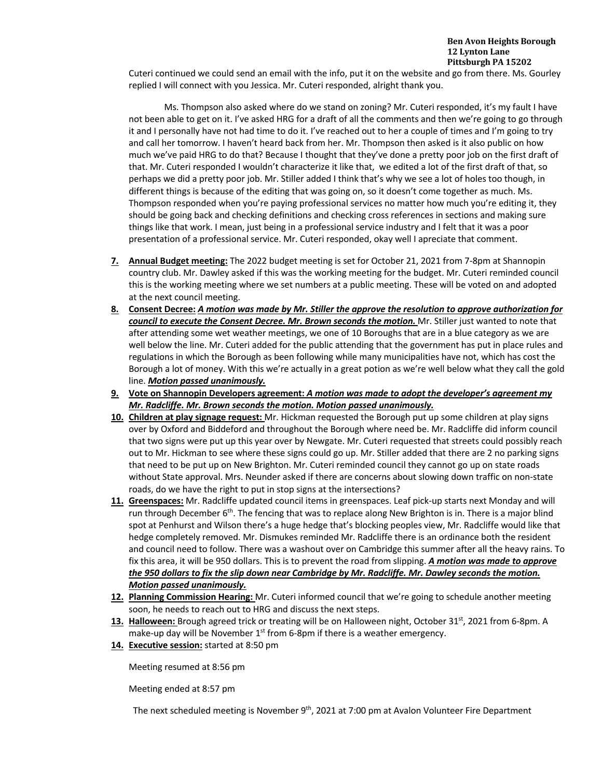Cuteri continued we could send an email with the info, put it on the website and go from there. Ms. Gourley replied I will connect with you Jessica. Mr. Cuteri responded, alright thank you.

Ms. Thompson also asked where do we stand on zoning? Mr. Cuteri responded, it's my fault I have not been able to get on it. I've asked HRG for a draft of all the comments and then we're going to go through it and I personally have not had time to do it. I've reached out to her a couple of times and I'm going to try and call her tomorrow. I haven't heard back from her. Mr. Thompson then asked is it also public on how much we've paid HRG to do that? Because I thought that they've done a pretty poor job on the first draft of that. Mr. Cuteri responded I wouldn't characterize it like that, we edited a lot of the first draft of that, so perhaps we did a pretty poor job. Mr. Stiller added I think that's why we see a lot of holes too though, in different things is because of the editing that was going on, so it doesn't come together as much. Ms. Thompson responded when you're paying professional services no matter how much you're editing it, they should be going back and checking definitions and checking cross references in sections and making sure things like that work. I mean, just being in a professional service industry and I felt that it was a poor presentation of a professional service. Mr. Cuteri responded, okay well I apreciate that comment.

- **7. Annual Budget meeting:** The 2022 budget meeting is set for October 21, 2021 from 7-8pm at Shannopin country club. Mr. Dawley asked if this was the working meeting for the budget. Mr. Cuteri reminded council this is the working meeting where we set numbers at a public meeting. These will be voted on and adopted at the next council meeting.
- **8. Consent Decree:** *A motion was made by Mr. Stiller the approve the resolution to approve authorization for*  council to execute the Consent Decree. Mr. Brown seconds the motion. Mr. Stiller just wanted to note that after attending some wet weather meetings, we one of 10 Boroughs that are in a blue category as we are well below the line. Mr. Cuteri added for the public attending that the government has put in place rules and regulations in which the Borough as been following while many municipalities have not, which has cost the Borough a lot of money. With this we're actually in a great potion as we're well below what they call the gold line. *Motion passed unanimously.*
- **9. Vote on Shannopin Developers agreement:** *A motion was made to adopt the developer's agreement my Mr. Radcliffe. Mr. Brown seconds the motion. Motion passed unanimously.*
- **10. Children at play signage request:** Mr. Hickman requested the Borough put up some children at play signs over by Oxford and Biddeford and throughout the Borough where need be. Mr. Radcliffe did inform council that two signs were put up this year over by Newgate. Mr. Cuteri requested that streets could possibly reach out to Mr. Hickman to see where these signs could go up. Mr. Stiller added that there are 2 no parking signs that need to be put up on New Brighton. Mr. Cuteri reminded council they cannot go up on state roads without State approval. Mrs. Neunder asked if there are concerns about slowing down traffic on non-state roads, do we have the right to put in stop signs at the intersections?
- **11. Greenspaces:** Mr. Radcliffe updated council items in greenspaces. Leaf pick-up starts next Monday and will run through December  $6<sup>th</sup>$ . The fencing that was to replace along New Brighton is in. There is a major blind spot at Penhurst and Wilson there's a huge hedge that's blocking peoples view, Mr. Radcliffe would like that hedge completely removed. Mr. Dismukes reminded Mr. Radcliffe there is an ordinance both the resident and council need to follow. There was a washout over on Cambridge this summer after all the heavy rains. To fix this area, it will be 950 dollars. This is to prevent the road from slipping. *A motion was made to approve the 950 dollars to fix the slip down near Cambridge by Mr. Radcliffe. Mr. Dawley seconds the motion. Motion passed unanimously.*
- **12. Planning Commission Hearing:** Mr. Cuteri informed council that we're going to schedule another meeting soon, he needs to reach out to HRG and discuss the next steps.
- **13. Halloween:** Brough agreed trick or treating will be on Halloween night, October 31<sup>st</sup>, 2021 from 6-8pm. A make-up day will be November  $1<sup>st</sup>$  from 6-8pm if there is a weather emergency.
- **14. Executive session:** started at 8:50 pm

Meeting resumed at 8:56 pm

Meeting ended at 8:57 pm

The next scheduled meeting is November 9<sup>th</sup>, 2021 at 7:00 pm at Avalon Volunteer Fire Department